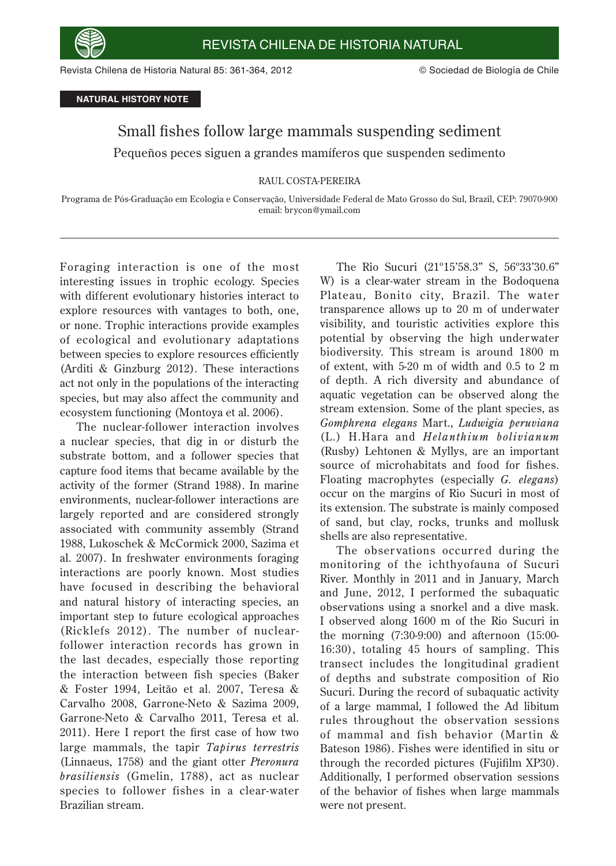

Revista Chilena de Historia Natural 85: 361-364, 2012 © Sociedad de Biología de Chile

**NATURAL HISTORY NOTE**

## Small fishes follow large mammals suspending sediment Pequeños peces siguen a grandes mamíferos que suspenden sedimento

## RAUL COSTA-PEREIRA

Programa de Pós-Graduação em Ecologia e Conservação, Universidade Federal de Mato Grosso do Sul, Brazil, CEP: 79070-900 email: brycon@ymail.com

Foraging interaction is one of the most interesting issues in trophic ecology. Species with different evolutionary histories interact to explore resources with vantages to both, one, or none. Trophic interactions provide examples of ecological and evolutionary adaptations between species to explore resources efficiently (Arditi & Ginzburg 2012). These interactions act not only in the populations of the interacting species, but may also affect the community and ecosystem functioning (Montoya et al. 2006).

The nuclear-follower interaction involves a nuclear species, that dig in or disturb the substrate bottom, and a follower species that capture food items that became available by the activity of the former (Strand 1988). In marine environments, nuclear-follower interactions are largely reported and are considered strongly associated with community assembly (Strand 1988, Lukoschek & McCormick 2000, Sazima et al. 2007). In freshwater environments foraging interactions are poorly known. Most studies have focused in describing the behavioral and natural history of interacting species, an important step to future ecological approaches (Ricklefs 2012). The number of nuclearfollower interaction records has grown in the last decades, especially those reporting the interaction between fish species (Baker & Foster 1994, Leitão et al. 2007, Teresa & Carvalho 2008, Garrone-Neto & Sazima 2009, Garrone-Neto & Carvalho 2011, Teresa et al. 2011). Here I report the first case of how two large mammals, the tapir *Tapirus terrestris* (Linnaeus, 1758) and the giant otter *Pteronura brasiliensis* (Gmelin, 1788), act as nuclear species to follower fishes in a clear-water Brazilian stream.

The Rio Sucuri (21º15'58.3" S, 56º33'30.6" W) is a clear-water stream in the Bodoquena Plateau, Bonito city, Brazil. The water transparence allows up to 20 m of underwater visibility, and touristic activities explore this potential by observing the high underwater biodiversity. This stream is around 1800 m of extent, with 5-20 m of width and 0.5 to 2 m of depth. A rich diversity and abundance of aquatic vegetation can be observed along the stream extension. Some of the plant species, as *Gomphrena elegans* Mart., *Ludwigia peruviana* (L.) H.Hara and *Helanthium bolivianum*  (Rusby) Lehtonen & Myllys, are an important source of microhabitats and food for fishes. Floating macrophytes (especially *G. elegans*) occur on the margins of Rio Sucuri in most of its extension. The substrate is mainly composed of sand, but clay, rocks, trunks and mollusk shells are also representative.

The obser vations occurred during the monitoring of the ichthyofauna of Sucuri River. Monthly in 2011 and in January, March and June, 2012, I performed the subaquatic observations using a snorkel and a dive mask. I observed along 1600 m of the Rio Sucuri in the morning (7:30-9:00) and afternoon (15:00- 16:30), totaling 45 hours of sampling. This transect includes the longitudinal gradient of depths and substrate composition of Rio Sucuri. During the record of subaquatic activity of a large mammal, I followed the Ad libitum rules throughout the obser vation sessions of mammal and fish behavior (Martin  $\&$ Bateson 1986). Fishes were identified in situ or through the recorded pictures (Fujifilm XP30). Additionally, I performed observation sessions of the behavior of fishes when large mammals were not present.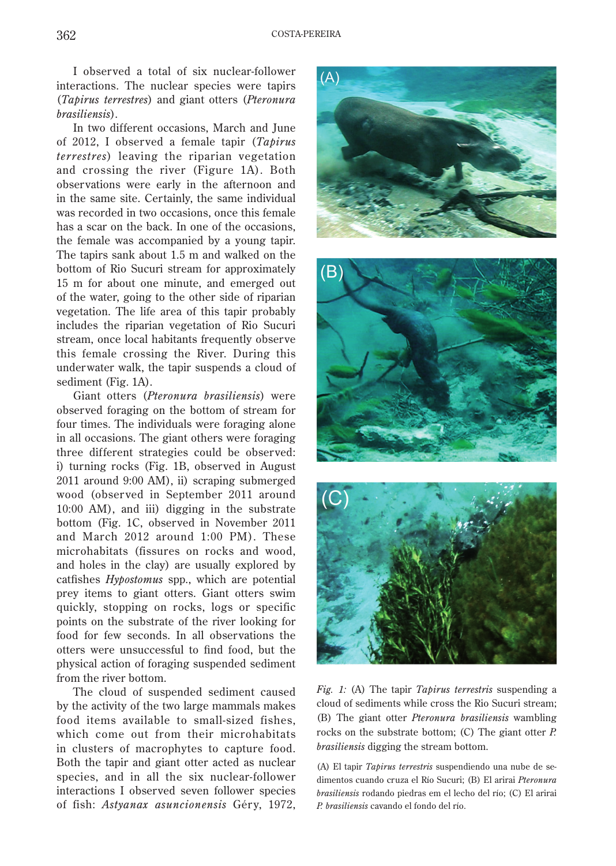I observed a total of six nuclear-follower interactions. The nuclear species were tapirs (*Tapirus terrestres*) and giant otters (*Pteronura brasiliensis*).

In two different occasions, March and June of 2012, I observed a female tapir (*Tapirus terrestres*) leaving the riparian vegetation and crossing the river (Figure 1A). Both observations were early in the afternoon and in the same site. Certainly, the same individual was recorded in two occasions, once this female has a scar on the back. In one of the occasions, the female was accompanied by a young tapir. The tapirs sank about 1.5 m and walked on the bottom of Rio Sucuri stream for approximately 15 m for about one minute, and emerged out of the water, going to the other side of riparian vegetation. The life area of this tapir probably includes the riparian vegetation of Rio Sucuri stream, once local habitants frequently observe this female crossing the River. During this underwater walk, the tapir suspends a cloud of sediment (Fig. 1A).

Giant otters (*Pteronura brasiliensis*) were observed foraging on the bottom of stream for four times. The individuals were foraging alone in all occasions. The giant others were foraging three different strategies could be observed: i) turning rocks (Fig. 1B, observed in August 2011 around 9:00 AM), ii) scraping submerged wood (obser ved in September 2011 around 10:00 AM), and iii) digging in the substrate bottom (Fig. 1C, observed in November 2011 and March 2012 around 1:00 PM). These microhabitats (fissures on rocks and wood, and holes in the clay) are usually explored by catfishes *Hypostomus* spp., which are potential prey items to giant otters. Giant otters swim quickly, stopping on rocks, logs or specific points on the substrate of the river looking for food for few seconds. In all observations the otters were unsuccessful to find food, but the physical action of foraging suspended sediment from the river bottom.

The cloud of suspended sediment caused by the activity of the two large mammals makes food items available to small-sized fishes, which come out from their microhabitats in clusters of macrophytes to capture food. Both the tapir and giant otter acted as nuclear species, and in all the six nuclear-follower interactions I observed seven follower species of fish: *Astyanax asuncionensis* Gér y, 1972,



*Fig. 1:* (A) The tapir *Tapirus terrestris* suspending a cloud of sediments while cross the Rio Sucuri stream; (B) The giant otter *Pteronura brasiliensis* wambling rocks on the substrate bottom; (C) The giant otter *P. brasiliensis* digging the stream bottom.

(A) El tapir *Tapirus terrestris* suspendiendo una nube de sedimentos cuando cruza el Río Sucuri; (B) El arirai *Pteronura brasiliensis* rodando piedras em el lecho del río; (C) El arirai *P. brasiliensis* cavando el fondo del río.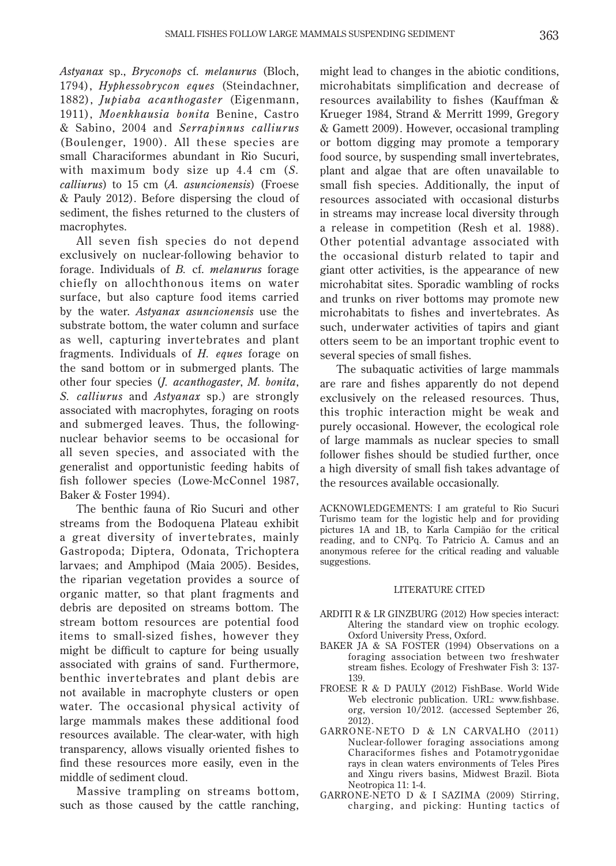*Astyanax* sp., *Bryconops* cf. *melanurus* (Bloch, 1794), *Hyphessobrycon eques* (Steindachner, 1882), *Jupiaba acanthogaster* (Eigenmann, 1911), *Moenkhausia bonita* Benine, Castro & Sabino, 2004 and *Serrapinnus calliurus* (Boulenger, 1900). All these species are small Characiformes abundant in Rio Sucuri, with maximum body size up 4.4 cm (*S. calliurus*) to 15 cm (*A. asuncionensis*) (Froese & Pauly 2012). Before dispersing the cloud of sediment, the fishes returned to the clusters of macrophytes.

All seven fish species do not depend exclusively on nuclear-following behavior to forage. Individuals of *B.* cf. *melanurus* forage chiefly on allochthonous items on water surface, but also capture food items carried by the water. *Astyanax asuncionensis* use the substrate bottom, the water column and surface as well, capturing inver tebrates and plant fragments. Individuals of *H. eques* forage on the sand bottom or in submerged plants. The other four species (*J. acanthogaster*, *M. bonita*, *S. calliurus* and *Astyanax* sp.) are strongly associated with macrophytes, foraging on roots and submerged leaves. Thus, the followingnuclear behavior seems to be occasional for all seven species, and associated with the generalist and opportunistic feeding habits of fish follower species (Lowe-McConnel 1987, Baker & Foster 1994).

The benthic fauna of Rio Sucuri and other streams from the Bodoquena Plateau exhibit a great diversity of inver tebrates, mainly Gastropoda; Diptera, Odonata, Trichoptera larvaes; and Amphipod (Maia 2005). Besides, the riparian vegetation provides a source of organic matter, so that plant fragments and debris are deposited on streams bottom. The stream bottom resources are potential food items to small-sized fishes, however they might be difficult to capture for being usually associated with grains of sand. Furthermore, benthic inver tebrates and plant debis are not available in macrophyte clusters or open water. The occasional physical activity of large mammals makes these additional food resources available. The clear-water, with high transparency, allows visually oriented fishes to find these resources more easily, even in the middle of sediment cloud.

Massive trampling on streams bottom, such as those caused by the cattle ranching,

might lead to changes in the abiotic conditions, microhabitats simplification and decrease of resources availability to fishes (Kauffman  $\&$ Krueger 1984, Strand & Merritt 1999, Gregory & Gamett 2009). However, occasional trampling or bottom digging may promote a temporary food source, by suspending small invertebrates, plant and algae that are often unavailable to small fish species. Additionally, the input of resources associated with occasional disturbs in streams may increase local diversity through a release in competition (Resh et al. 1988). Other potential advantage associated with the occasional disturb related to tapir and giant otter activities, is the appearance of new microhabitat sites. Sporadic wambling of rocks and trunks on river bottoms may promote new microhabitats to fishes and invertebrates. As such, underwater activities of tapirs and giant otters seem to be an important trophic event to several species of small fishes.

The subaquatic activities of large mammals are rare and fishes apparently do not depend exclusively on the released resources. Thus, this trophic interaction might be weak and purely occasional. However, the ecological role of large mammals as nuclear species to small follower fishes should be studied further, once a high diversity of small fish takes advantage of the resources available occasionally.

ACKNOWLEDGEMENTS: I am grateful to Rio Sucuri Turismo team for the logistic help and for providing pictures 1A and 1B, to Karla Campião for the critical reading, and to CNPq. To Patricio A. Camus and an anonymous referee for the critical reading and valuable suggestions.

## LITERATURE CITED

- ARDITI R & LR GINZBURG (2012) How species interact: Altering the standard view on trophic ecology. Oxford University Press, Oxford.
- BAKER JA & SA FOSTER (1994) Observations on a foraging association between two freshwater stream fishes. Ecology of Freshwater Fish 3: 137-139.
- FROESE R & D PAULY (2012) FishBase. World Wide Web electronic publication. URL: www.fishbase. org, version 10/2012. (accessed September 26, 2012).
- GARRONE-NETO D & LN CARVALHO (2011) Nuclear-follower foraging associations among Characiformes fishes and Potamotr ygonidae rays in clean waters environments of Teles Pires and Xingu rivers basins, Midwest Brazil. Biota Neotropica 11: 1-4.
- GARRONE-NETO D & I SAZIMA (2009) Stirring, charging, and picking: Hunting tactics of